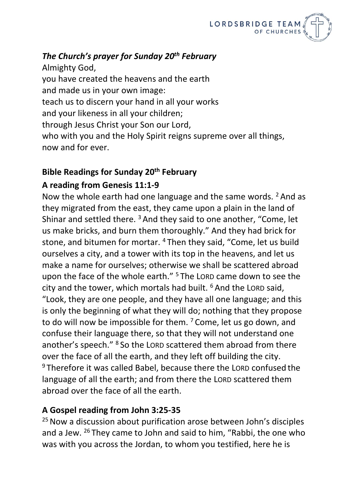

## *The Church's prayer for Sunday 20th February*

Almighty God, you have created the heavens and the earth and made us in your own image: teach us to discern your hand in all your works and your likeness in all your children; through Jesus Christ your Son our Lord, who with you and the Holy Spirit reigns supreme over all things, now and for ever.

## **Bible Readings for Sunday 20th February**

## **A reading from Genesis 11:1-9**

Now the whole earth had one language and the same words. <sup>2</sup> And as they migrated from the east, they came upon a plain in the land of Shinar and settled there.<sup>3</sup> And they said to one another, "Come, let us make bricks, and burn them thoroughly." And they had brick for stone, and bitumen for mortar. <sup>4</sup> Then they said, "Come, let us build ourselves a city, and a tower with its top in the heavens, and let us make a name for ourselves; otherwise we shall be scattered abroad upon the face of the whole earth." <sup>5</sup> The LORD came down to see the city and the tower, which mortals had built. <sup>6</sup> And the LORD said, "Look, they are one people, and they have all one language; and this is only the beginning of what they will do; nothing that they propose to do will now be impossible for them.  $7 \text{Come}$ , let us go down, and confuse their language there, so that they will not understand one another's speech." <sup>8</sup> So the LORD scattered them abroad from there over the face of all the earth, and they left off building the city. <sup>9</sup> Therefore it was called Babel, because there the LORD confused the language of all the earth; and from there the LORD scattered them abroad over the face of all the earth.

## **A Gospel reading from John 3:25-35**

<sup>25</sup> Now a discussion about purification arose between John's disciples and a Jew. <sup>26</sup> They came to John and said to him, "Rabbi, the one who was with you across the Jordan, to whom you testified, here he is